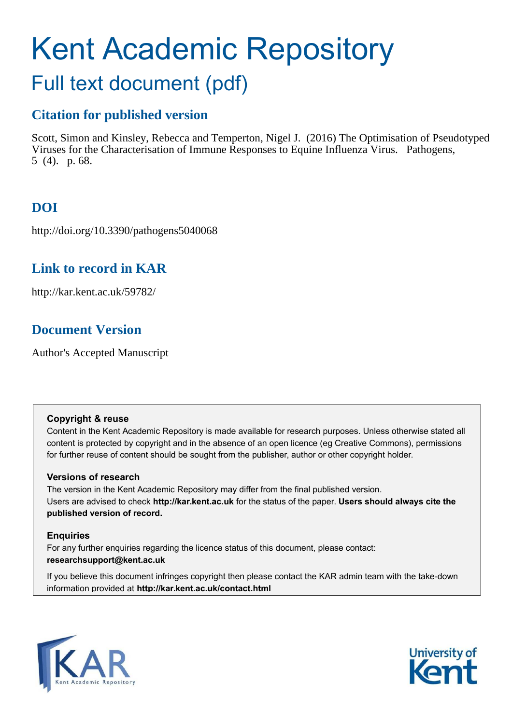# Kent Academic Repository Full text document (pdf)

# **Citation for published version**

Scott, Simon and Kinsley, Rebecca and Temperton, Nigel J. (2016) The Optimisation of Pseudotyped Viruses for the Characterisation of Immune Responses to Equine Influenza Virus. Pathogens, 5 (4). p. 68.

# **DOI**

http://doi.org/10.3390/pathogens5040068

## **Link to record in KAR**

http://kar.kent.ac.uk/59782/

# **Document Version**

Author's Accepted Manuscript

## **Copyright & reuse**

Content in the Kent Academic Repository is made available for research purposes. Unless otherwise stated all content is protected by copyright and in the absence of an open licence (eg Creative Commons), permissions for further reuse of content should be sought from the publisher, author or other copyright holder.

## **Versions of research**

The version in the Kent Academic Repository may differ from the final published version. Users are advised to check **http://kar.kent.ac.uk** for the status of the paper. **Users should always cite the published version of record.**

## **Enquiries**

For any further enquiries regarding the licence status of this document, please contact: **researchsupport@kent.ac.uk**

If you believe this document infringes copyright then please contact the KAR admin team with the take-down information provided at **http://kar.kent.ac.uk/contact.html**



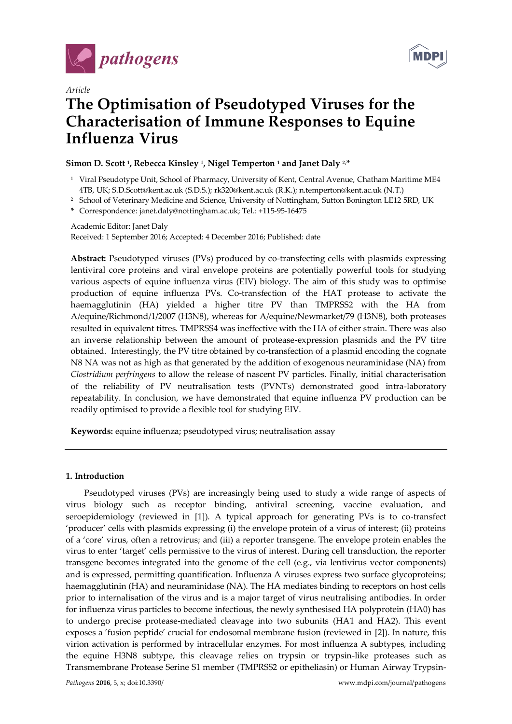



## *Article*  **The Optimisation of Pseudotyped Viruses for the Characterisation of Immune Responses to Equine Influenza Virus**

### **Simon D. Scott <sup>1</sup> , Rebecca Kinsley <sup>1</sup> , Nigel Temperton <sup>1</sup> and Janet Daly 2,\***

- 1 Viral Pseudotype Unit, School of Pharmacy, University of Kent, Central Avenue, Chatham Maritime ME4 4TB, UK; S.D.Scott@kent.ac.uk (S.D.S.); rk320@kent.ac.uk (R.K.); n.temperton@kent.ac.uk (N.T.)
- 2 School of Veterinary Medicine and Science, University of Nottingham, Sutton Bonington LE12 5RD, UK
- **\*** Correspondence: janet.daly@nottingham.ac.uk; Tel.: +115-95-16475

Academic Editor: Janet Daly Received: 1 September 2016; Accepted: 4 December 2016; Published: date

**Abstract:** Pseudotyped viruses (PVs) produced by co-transfecting cells with plasmids expressing lentiviral core proteins and viral envelope proteins are potentially powerful tools for studying various aspects of equine influenza virus (EIV) biology. The aim of this study was to optimise production of equine influenza PVs. Co-transfection of the HAT protease to activate the haemagglutinin (HA) yielded a higher titre PV than TMPRSS2 with the HA from A/equine/Richmond/1/2007 (H3N8), whereas for A/equine/Newmarket/79 (H3N8), both proteases resulted in equivalent titres. TMPRSS4 was ineffective with the HA of either strain. There was also an inverse relationship between the amount of protease-expression plasmids and the PV titre obtained. Interestingly, the PV titre obtained by co-transfection of a plasmid encoding the cognate N8 NA was not as high as that generated by the addition of exogenous neuraminidase (NA) from *Clostridium perfringens* to allow the release of nascent PV particles. Finally, initial characterisation of the reliability of PV neutralisation tests (PVNTs) demonstrated good intra-laboratory repeatability. In conclusion, we have demonstrated that equine influenza PV production can be readily optimised to provide a flexible tool for studying EIV.

**Keywords:** equine influenza; pseudotyped virus; neutralisation assay

#### **1. Introduction**

Pseudotyped viruses (PVs) are increasingly being used to study a wide range of aspects of virus biology such as receptor binding, antiviral screening, vaccine evaluation, and seroepidemiology (reviewed in [1]). A typical approach for generating PVs is to co-transfect 'producer' cells with plasmids expressing (i) the envelope protein of a virus of interest; (ii) proteins of a 'core' virus, often a retrovirus; and (iii) a reporter transgene. The envelope protein enables the virus to enter 'target' cells permissive to the virus of interest. During cell transduction, the reporter transgene becomes integrated into the genome of the cell (e.g., via lentivirus vector components) and is expressed, permitting quantification. Influenza A viruses express two surface glycoproteins; haemagglutinin (HA) and neuraminidase (NA). The HA mediates binding to receptors on host cells prior to internalisation of the virus and is a major target of virus neutralising antibodies. In order for influenza virus particles to become infectious, the newly synthesised HA polyprotein (HA0) has to undergo precise protease-mediated cleavage into two subunits (HA1 and HA2). This event exposes a 'fusion peptide' crucial for endosomal membrane fusion (reviewed in [2]). In nature, this virion activation is performed by intracellular enzymes. For most influenza A subtypes, including the equine H3N8 subtype, this cleavage relies on trypsin or trypsin-like proteases such as Transmembrane Protease Serine S1 member (TMPRSS2 or epitheliasin) or Human Airway Trypsin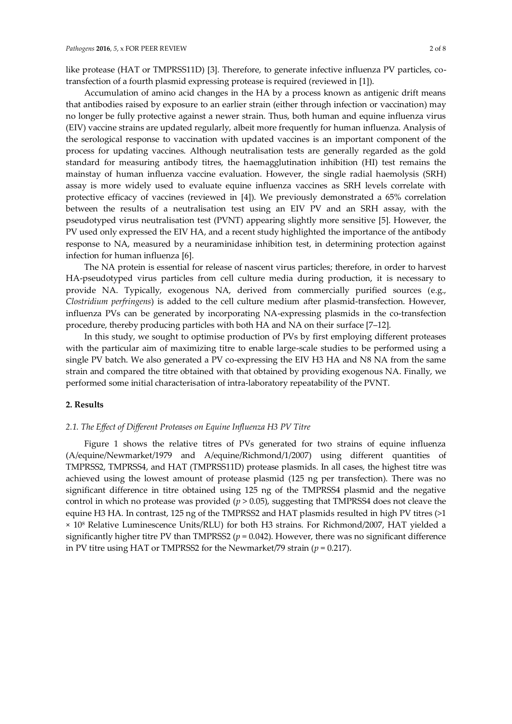like protease (HAT or TMPRSS11D) [3]. Therefore, to generate infective influenza PV particles, cotransfection of a fourth plasmid expressing protease is required (reviewed in [1]).

Accumulation of amino acid changes in the HA by a process known as antigenic drift means that antibodies raised by exposure to an earlier strain (either through infection or vaccination) may no longer be fully protective against a newer strain. Thus, both human and equine influenza virus (EIV) vaccine strains are updated regularly, albeit more frequently for human influenza. Analysis of the serological response to vaccination with updated vaccines is an important component of the process for updating vaccines. Although neutralisation tests are generally regarded as the gold standard for measuring antibody titres, the haemagglutination inhibition (HI) test remains the mainstay of human influenza vaccine evaluation. However, the single radial haemolysis (SRH) assay is more widely used to evaluate equine influenza vaccines as SRH levels correlate with protective efficacy of vaccines (reviewed in [4]). We previously demonstrated a 65% correlation between the results of a neutralisation test using an EIV PV and an SRH assay, with the pseudotyped virus neutralisation test (PVNT) appearing slightly more sensitive [5]. However, the PV used only expressed the EIV HA, and a recent study highlighted the importance of the antibody response to NA, measured by a neuraminidase inhibition test, in determining protection against infection for human influenza [6].

The NA protein is essential for release of nascent virus particles; therefore, in order to harvest HA-pseudotyped virus particles from cell culture media during production, it is necessary to provide NA. Typically, exogenous NA, derived from commercially purified sources (e.g., *Clostridium perfringens*) is added to the cell culture medium after plasmid-transfection. However, influenza PVs can be generated by incorporating NA-expressing plasmids in the co-transfection procedure, thereby producing particles with both HA and NA on their surface [7–12].

In this study, we sought to optimise production of PVs by first employing different proteases with the particular aim of maximizing titre to enable large-scale studies to be performed using a single PV batch. We also generated a PV co-expressing the EIV H3 HA and N8 NA from the same strain and compared the titre obtained with that obtained by providing exogenous NA. Finally, we performed some initial characterisation of intra-laboratory repeatability of the PVNT.

#### **2. Results**

#### *2.1. The Effect of Different Proteases on Equine Influenza H3 PV Titre*

Figure 1 shows the relative titres of PVs generated for two strains of equine influenza (A/equine/Newmarket/1979 and A/equine/Richmond/1/2007) using different quantities of TMPRSS2, TMPRSS4, and HAT (TMPRSS11D) protease plasmids. In all cases, the highest titre was achieved using the lowest amount of protease plasmid (125 ng per transfection). There was no significant difference in titre obtained using 125 ng of the TMPRSS4 plasmid and the negative control in which no protease was provided (*p* > 0.05), suggesting that TMPRSS4 does not cleave the equine H3 HA. In contrast, 125 ng of the TMPRSS2 and HAT plasmids resulted in high PV titres (>1 × 10<sup>8</sup> Relative Luminescence Units/RLU) for both H3 strains. For Richmond/2007, HAT yielded a significantly higher titre PV than TMPRSS2 ( $p = 0.042$ ). However, there was no significant difference in PV titre using HAT or TMPRSS2 for the Newmarket/79 strain  $(p = 0.217)$ .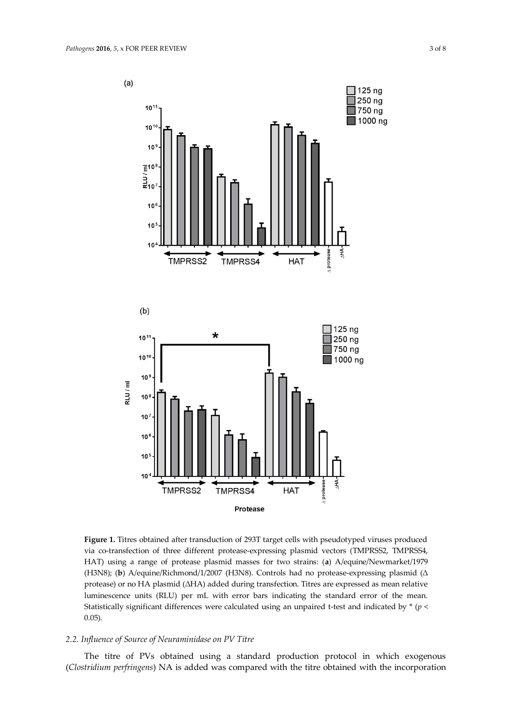$(a)$ 



**Figure 1.** Titres obtained after transduction of 293T target cells with pseudotyped viruses produced via co-transfection of three different protease-expressing plasmid vectors (TMPRSS2, TMPRSS4, HAT) using a range of protease plasmid masses for two strains: (**a**) A/equine/Newmarket/1979 (H3N8); (b) A/equine/Richmond/1/2007 (H3N8). Controls had no protease-expressing plasmid (Δ protease) or no HA plasmid (ΔHA) added during transfection. Titres are expressed as mean relative luminescence units (RLU) per mL with error bars indicating the standard error of the mean. Statistically significant differences were calculated using an unpaired t-test and indicated by \* (*p* < 0.05).

#### *2.2. Influence of Source of Neuraminidase on PV Titre*

The titre of PVs obtained using a standard production protocol in which exogenous (*Clostridium perfringens*) NA is added was compared with the titre obtained with the incorporation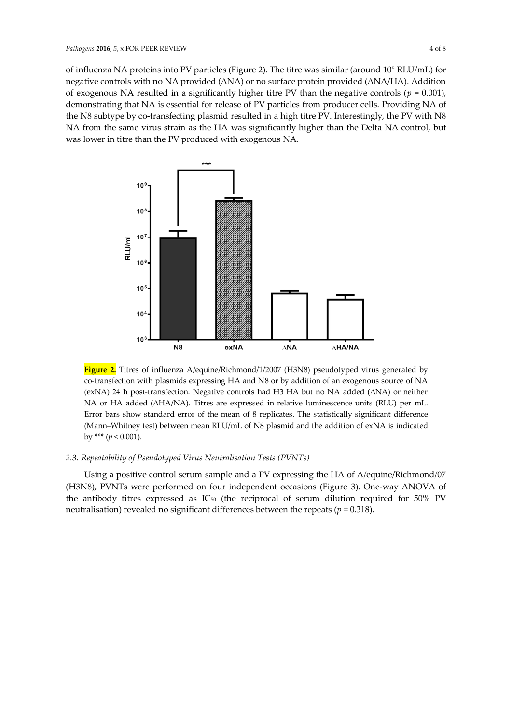of influenza NA proteins into PV particles (Figure 2). The titre was similar (around 10<sup>5</sup> RLU/mL) for negative controls with no NA provided ( $\triangle$ NA) or no surface protein provided ( $\triangle$ NA/HA). Addition of exogenous NA resulted in a significantly higher titre PV than the negative controls ( $p = 0.001$ ), demonstrating that NA is essential for release of PV particles from producer cells. Providing NA of the N8 subtype by co-transfecting plasmid resulted in a high titre PV. Interestingly, the PV with N8 NA from the same virus strain as the HA was significantly higher than the Delta NA control, but was lower in titre than the PV produced with exogenous NA.



**Figure 2.** Titres of influenza A/equine/Richmond/1/2007 (H3N8) pseudotyped virus generated by co-transfection with plasmids expressing HA and N8 or by addition of an exogenous source of NA (exNA) 24 h post-transfection. Negative controls had H3 HA but no NA added  $(ANA)$  or neither NA or HA added ( $\triangle HA/NA$ ). Titres are expressed in relative luminescence units (RLU) per mL. Error bars show standard error of the mean of 8 replicates. The statistically significant difference (Mann-Whitney test) between mean RLU/mL of N8 plasmid and the addition of exNA is indicated by \*\*\*  $(p < 0.001)$ .

#### *2.3. Repeatability of Pseudotyped Virus Neutralisation Tests (PVNTs)*

Using a positive control serum sample and a PV expressing the HA of A/equine/Richmond/07 (H3N8), PVNTs were performed on four independent occasions (Figure 3). One-way ANOVA of the antibody titres expressed as  $IC_{50}$  (the reciprocal of serum dilution required for 50% PV neutralisation) revealed no significant differences between the repeats (*p* = 0.318).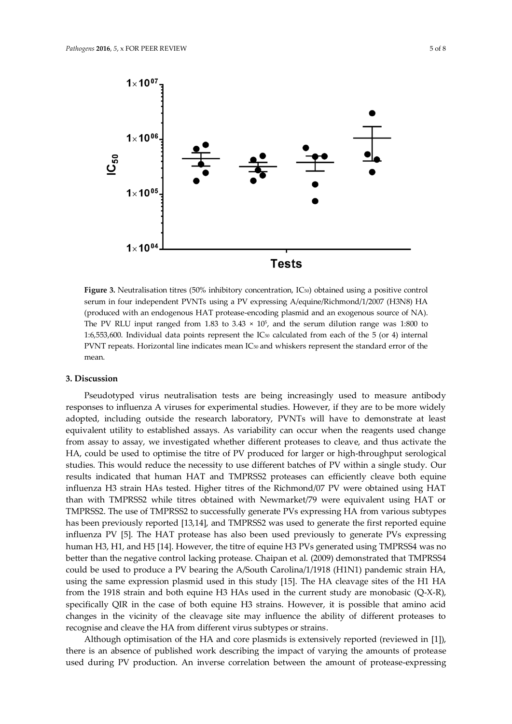

Figure 3. Neutralisation titres (50% inhibitory concentration, IC<sub>50</sub>) obtained using a positive control serum in four independent PVNTs using a PV expressing A/equine/Richmond/1/2007 (H3N8) HA (produced with an endogenous HAT protease-encoding plasmid and an exogenous source of NA). The PV RLU input ranged from 1.83 to 3.43  $\times$  10<sup>5</sup>, and the serum dilution range was 1:800 to 1:6,553,600. Individual data points represent the  $IC_{50}$  calculated from each of the 5 (or 4) internal PVNT repeats. Horizontal line indicates mean IC<sub>50</sub> and whiskers represent the standard error of the mean.

#### **3. Discussion**

Pseudotyped virus neutralisation tests are being increasingly used to measure antibody responses to influenza A viruses for experimental studies. However, if they are to be more widely adopted, including outside the research laboratory, PVNTs will have to demonstrate at least equivalent utility to established assays. As variability can occur when the reagents used change from assay to assay, we investigated whether different proteases to cleave, and thus activate the HA, could be used to optimise the titre of PV produced for larger or high-throughput serological studies. This would reduce the necessity to use different batches of PV within a single study. Our results indicated that human HAT and TMPRSS2 proteases can efficiently cleave both equine influenza H3 strain HAs tested. Higher titres of the Richmond/07 PV were obtained using HAT than with TMPRSS2 while titres obtained with Newmarket/79 were equivalent using HAT or TMPRSS2. The use of TMPRSS2 to successfully generate PVs expressing HA from various subtypes has been previously reported [13,14], and TMPRSS2 was used to generate the first reported equine influenza PV [5]. The HAT protease has also been used previously to generate PVs expressing human H3, H1, and H5 [14]. However, the titre of equine H3 PVs generated using TMPRSS4 was no better than the negative control lacking protease. Chaipan et al. (2009) demonstrated that TMPRSS4 could be used to produce a PV bearing the A/South Carolina/1/1918 (H1N1) pandemic strain HA, using the same expression plasmid used in this study [15]. The HA cleavage sites of the H1 HA from the 1918 strain and both equine H3 HAs used in the current study are monobasic (Q-X-R), specifically QIR in the case of both equine H3 strains. However, it is possible that amino acid changes in the vicinity of the cleavage site may influence the ability of different proteases to recognise and cleave the HA from different virus subtypes or strains.

Although optimisation of the HA and core plasmids is extensively reported (reviewed in [1]), there is an absence of published work describing the impact of varying the amounts of protease used during PV production. An inverse correlation between the amount of protease-expressing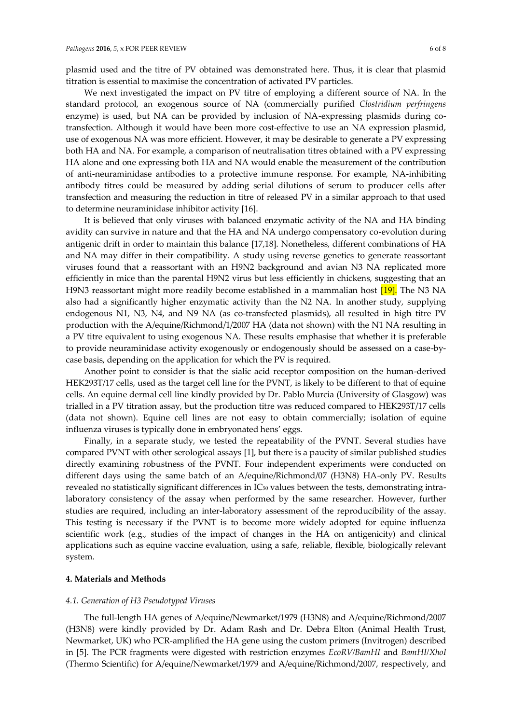plasmid used and the titre of PV obtained was demonstrated here. Thus, it is clear that plasmid titration is essential to maximise the concentration of activated PV particles.

We next investigated the impact on PV titre of employing a different source of NA. In the standard protocol, an exogenous source of NA (commercially purified *Clostridium perfringens*  enzyme) is used, but NA can be provided by inclusion of NA-expressing plasmids during cotransfection. Although it would have been more cost-effective to use an NA expression plasmid, use of exogenous NA was more efficient. However, it may be desirable to generate a PV expressing both HA and NA. For example, a comparison of neutralisation titres obtained with a PV expressing HA alone and one expressing both HA and NA would enable the measurement of the contribution of anti-neuraminidase antibodies to a protective immune response. For example, NA-inhibiting antibody titres could be measured by adding serial dilutions of serum to producer cells after transfection and measuring the reduction in titre of released PV in a similar approach to that used to determine neuraminidase inhibitor activity [16].

It is believed that only viruses with balanced enzymatic activity of the NA and HA binding avidity can survive in nature and that the HA and NA undergo compensatory co-evolution during antigenic drift in order to maintain this balance [17,18]. Nonetheless, different combinations of HA and NA may differ in their compatibility. A study using reverse genetics to generate reassortant viruses found that a reassortant with an H9N2 background and avian N3 NA replicated more efficiently in mice than the parental H9N2 virus but less efficiently in chickens, suggesting that an H9N3 reassortant might more readily become established in a mammalian host [19]. The N3 NA also had a significantly higher enzymatic activity than the N2 NA. In another study, supplying endogenous N1, N3, N4, and N9 NA (as co-transfected plasmids), all resulted in high titre PV production with the A/equine/Richmond/1/2007 HA (data not shown) with the N1 NA resulting in a PV titre equivalent to using exogenous NA. These results emphasise that whether it is preferable to provide neuraminidase activity exogenously or endogenously should be assessed on a case-bycase basis, depending on the application for which the PV is required.

Another point to consider is that the sialic acid receptor composition on the human-derived HEK293T/17 cells, used as the target cell line for the PVNT, is likely to be different to that of equine cells. An equine dermal cell line kindly provided by Dr. Pablo Murcia (University of Glasgow) was trialled in a PV titration assay, but the production titre was reduced compared to HEK293T/17 cells (data not shown). Equine cell lines are not easy to obtain commercially; isolation of equine influenza viruses is typically done in embryonated hens' eggs.

Finally, in a separate study, we tested the repeatability of the PVNT. Several studies have compared PVNT with other serological assays [1], but there is a paucity of similar published studies directly examining robustness of the PVNT. Four independent experiments were conducted on different days using the same batch of an A/equine/Richmond/07 (H3N8) HA-only PV. Results revealed no statistically significant differences in IC50 values between the tests, demonstrating intralaboratory consistency of the assay when performed by the same researcher. However, further studies are required, including an inter-laboratory assessment of the reproducibility of the assay. This testing is necessary if the PVNT is to become more widely adopted for equine influenza scientific work (e.g., studies of the impact of changes in the HA on antigenicity) and clinical applications such as equine vaccine evaluation, using a safe, reliable, flexible, biologically relevant system.

#### **4. Materials and Methods**

#### *4.1. Generation of H3 Pseudotyped Viruses*

The full-length HA genes of A/equine/Newmarket/1979 (H3N8) and A/equine/Richmond/2007 (H3N8) were kindly provided by Dr. Adam Rash and Dr. Debra Elton (Animal Health Trust, Newmarket, UK) who PCR-amplified the HA gene using the custom primers (Invitrogen) described in [5]. The PCR fragments were digested with restriction enzymes *EcoRV/BamHI* and *BamHI/XhoI* (Thermo Scientific) for A/equine/Newmarket/1979 and A/equine/Richmond/2007, respectively, and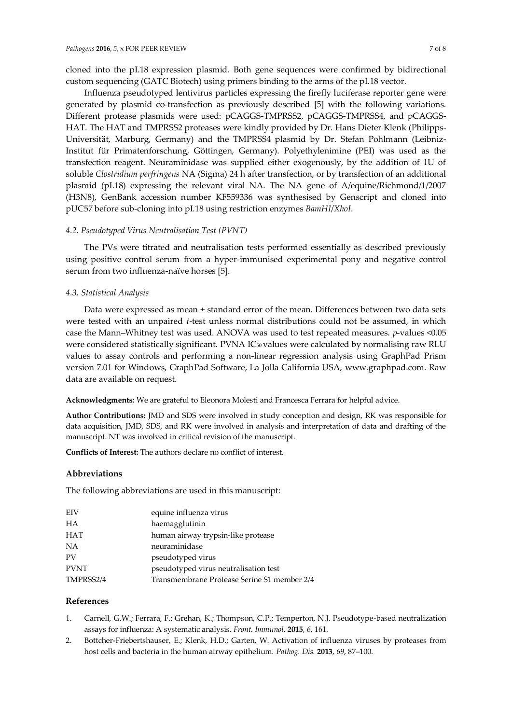cloned into the pI.18 expression plasmid. Both gene sequences were confirmed by bidirectional custom sequencing (GATC Biotech) using primers binding to the arms of the pI.18 vector.

Influenza pseudotyped lentivirus particles expressing the firefly luciferase reporter gene were generated by plasmid co-transfection as previously described [5] with the following variations. Different protease plasmids were used: pCAGGS-TMPRSS2, pCAGGS-TMPRSS4, and pCAGGS-HAT. The HAT and TMPRSS2 proteases were kindly provided by Dr. Hans Dieter Klenk (Philipps-Universität, Marburg, Germany) and the TMPRSS4 plasmid by Dr. Stefan Pohlmann (Leibniz-Institut für Primatenforschung, Göttingen, Germany). Polyethylenimine (PEI) was used as the transfection reagent. Neuraminidase was supplied either exogenously, by the addition of 1U of soluble *Clostridium perfringens* NA (Sigma) 24 h after transfection, or by transfection of an additional plasmid (pI.18) expressing the relevant viral NA. The NA gene of A/equine/Richmond/1/2007 (H3N8), GenBank accession number KF559336 was synthesised by Genscript and cloned into pUC57 before sub-cloning into pI.18 using restriction enzymes *BamHI*/*XhoI*.

#### *4.2. Pseudotyped Virus Neutralisation Test (PVNT)*

The PVs were titrated and neutralisation tests performed essentially as described previously using positive control serum from a hyper-immunised experimental pony and negative control serum from two influenza-naïve horses [5].

#### *4.3. Statistical Analysis*

Data were expressed as mean ± standard error of the mean. Differences between two data sets were tested with an unpaired *t*-test unless normal distributions could not be assumed, in which case the Mann-Whitney test was used. ANOVA was used to test repeated measures. *p*-values <0.05 were considered statistically significant. PVNA IC<sub>50</sub> values were calculated by normalising raw RLU values to assay controls and performing a non-linear regression analysis using GraphPad Prism version 7.01 for Windows, GraphPad Software, La Jolla California USA, www.graphpad.com. Raw data are available on request.

**Acknowledgments:** We are grateful to Eleonora Molesti and Francesca Ferrara for helpful advice.

**Author Contributions:** JMD and SDS were involved in study conception and design, RK was responsible for data acquisition, JMD, SDS, and RK were involved in analysis and interpretation of data and drafting of the manuscript. NT was involved in critical revision of the manuscript.

**Conflicts of Interest:** The authors declare no conflict of interest.

#### **Abbreviations**

The following abbreviations are used in this manuscript:

| EIV       | equine influenza virus                      |
|-----------|---------------------------------------------|
| HА        | haemagglutinin                              |
| HAT       | human airway trypsin-like protease          |
| NA        | neuraminidase                               |
| PV        | pseudotyped virus                           |
| PVNT      | pseudotyped virus neutralisation test       |
| TMPRSS2/4 | Transmembrane Protease Serine S1 member 2/4 |

#### **References**

- 1. Carnell, G.W.; Ferrara, F.; Grehan, K.; Thompson, C.P.; Temperton, N.J. Pseudotype-based neutralization assays for influenza: A systematic analysis. *Front. Immunol.* **2015**, *6*, 161.
- 2. Bottcher-Friebertshauser, E.; Klenk, H.D.; Garten, W. Activation of influenza viruses by proteases from host cells and bacteria in the human airway epithelium. *Pathog. Dis.* 2013, 69, 87-100.